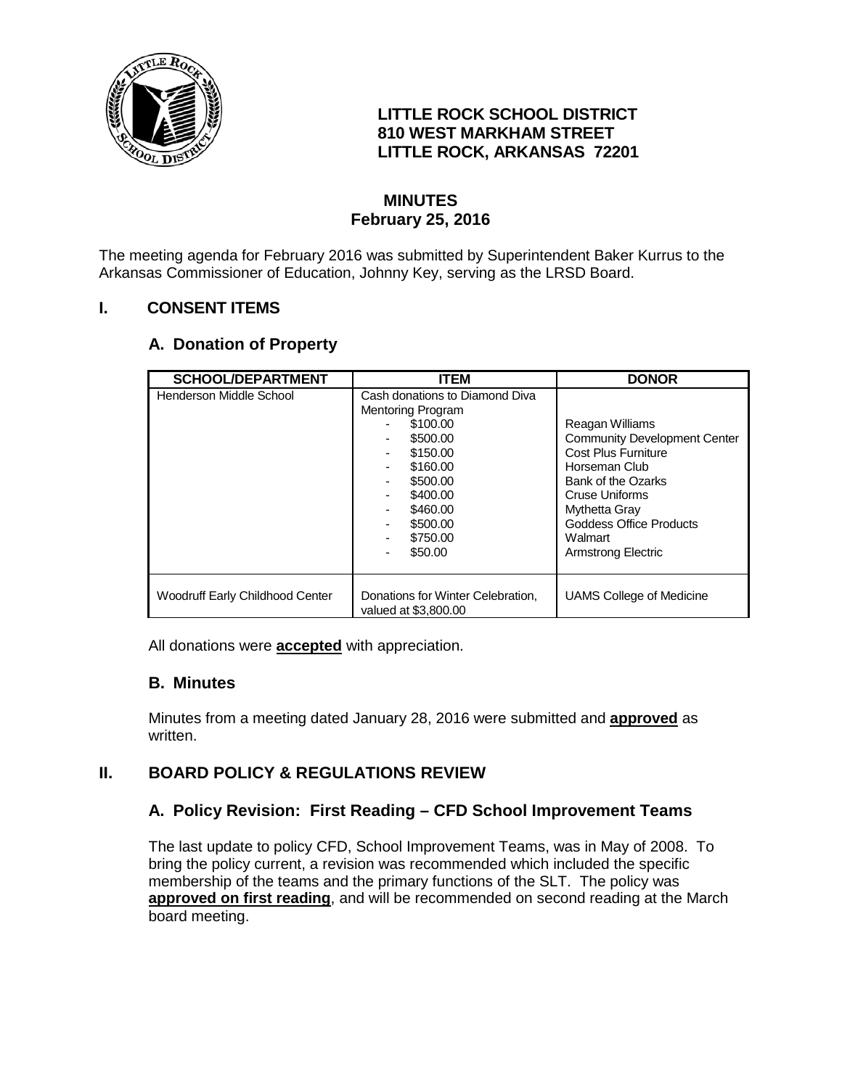

# **LITTLE ROCK SCHOOL DISTRICT 810 WEST MARKHAM STREET LITTLE ROCK, ARKANSAS 72201**

# **MINUTES February 25, 2016**

The meeting agenda for February 2016 was submitted by Superintendent Baker Kurrus to the Arkansas Commissioner of Education, Johnny Key, serving as the LRSD Board.

# **I. CONSENT ITEMS**

# **A. Donation of Property**

| <b>SCHOOL/DEPARTMENT</b>        | <b>ITEM</b>                                                                                                                                                                       | <b>DONOR</b>                                                                                                                                                                                                                      |
|---------------------------------|-----------------------------------------------------------------------------------------------------------------------------------------------------------------------------------|-----------------------------------------------------------------------------------------------------------------------------------------------------------------------------------------------------------------------------------|
| Henderson Middle School         | Cash donations to Diamond Diva<br><b>Mentoring Program</b><br>\$100.00<br>\$500.00<br>\$150.00<br>\$160.00<br>\$500.00<br>\$400.00<br>\$460.00<br>\$500.00<br>\$750.00<br>\$50.00 | Reagan Williams<br><b>Community Development Center</b><br><b>Cost Plus Furniture</b><br>Horseman Club<br>Bank of the Ozarks<br>Cruse Uniforms<br>Mythetta Gray<br><b>Goddess Office Products</b><br>Walmart<br>Armstrong Electric |
| Woodruff Early Childhood Center | Donations for Winter Celebration,<br>valued at \$3,800,00                                                                                                                         | UAMS College of Medicine                                                                                                                                                                                                          |

All donations were **accepted** with appreciation.

### **B. Minutes**

Minutes from a meeting dated January 28, 2016 were submitted and **approved** as written.

# **II. BOARD POLICY & REGULATIONS REVIEW**

### **A. Policy Revision: First Reading – CFD School Improvement Teams**

The last update to policy CFD, School Improvement Teams, was in May of 2008. To bring the policy current, a revision was recommended which included the specific membership of the teams and the primary functions of the SLT. The policy was **approved on first reading**, and will be recommended on second reading at the March board meeting.